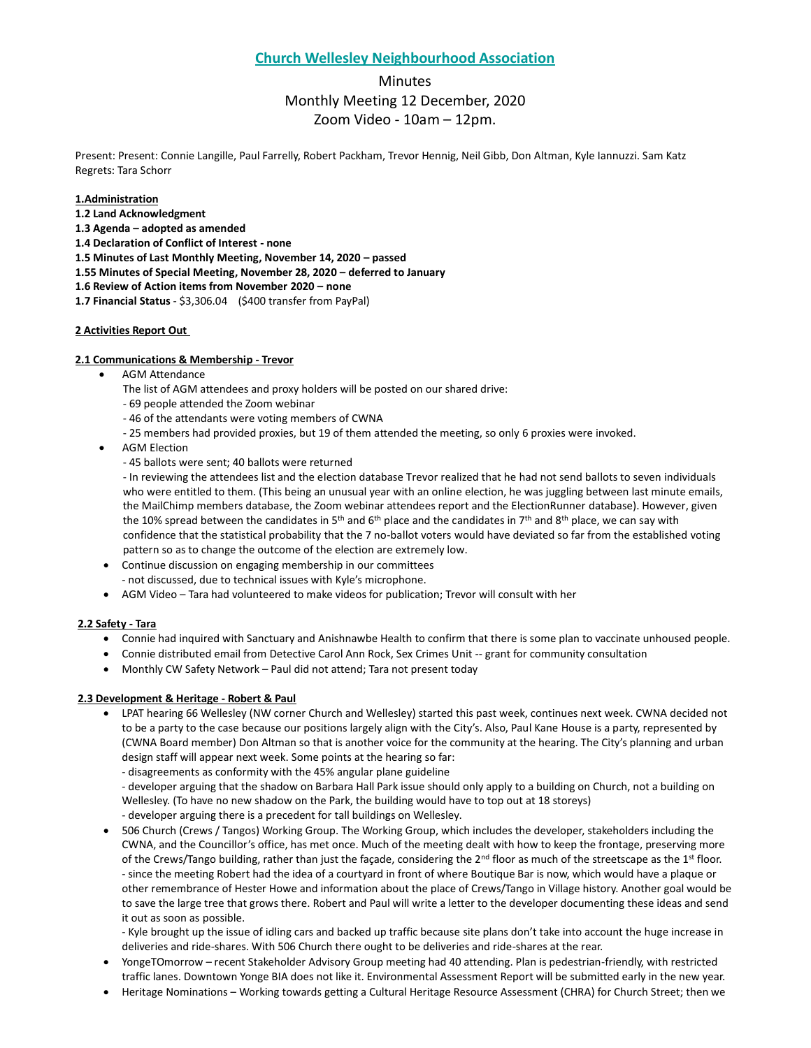## **Church Wellesley Neighbourhood Association**

# **Minutes** Monthly Meeting 12 December, 2020 Zoom Video - 10am – 12pm.

Present: Present: Connie Langille, Paul Farrelly, Robert Packham, Trevor Hennig, Neil Gibb, Don Altman, Kyle Iannuzzi. Sam Katz Regrets: Tara Schorr

**1.Administration**

- **1.2 Land Acknowledgment**
- **1.3 Agenda – adopted as amended**
- **1.4 Declaration of Conflict of Interest - none**

**1.5 Minutes of Last Monthly Meeting, November 14, 2020 – passed** 

- **1.55 Minutes of Special Meeting, November 28, 2020 – deferred to January**
- **1.6 Review of Action items from November 2020 – none**
- **1.7 Financial Status** \$3,306.04 (\$400 transfer from PayPal)

## **2 Activities Report Out**

## **2.1 Communications & Membership - Trevor**

- AGM Attendance
	- The list of AGM attendees and proxy holders will be posted on our shared drive:
	- 69 people attended the Zoom webinar
	- 46 of the attendants were voting members of CWNA
	- 25 members had provided proxies, but 19 of them attended the meeting, so only 6 proxies were invoked.
- AGM Election
	- 45 ballots were sent; 40 ballots were returned

- In reviewing the attendees list and the election database Trevor realized that he had not send ballots to seven individuals who were entitled to them. (This being an unusual year with an online election, he was juggling between last minute emails, the MailChimp members database, the Zoom webinar attendees report and the ElectionRunner database). However, given the 10% spread between the candidates in 5<sup>th</sup> and 6<sup>th</sup> place and the candidates in 7<sup>th</sup> and 8<sup>th</sup> place, we can say with confidence that the statistical probability that the 7 no-ballot voters would have deviated so far from the established voting pattern so as to change the outcome of the election are extremely low.

- Continue discussion on engaging membership in our committees - not discussed, due to technical issues with Kyle's microphone.
- AGM Video Tara had volunteered to make videos for publication; Trevor will consult with her

## **2.2 Safety - Tara**

- Connie had inquired with Sanctuary and Anishnawbe Health to confirm that there is some plan to vaccinate unhoused people.
- Connie distributed email from Detective Carol Ann Rock, Sex Crimes Unit -- grant for community consultation
- Monthly CW Safety Network Paul did not attend; Tara not present today

## **2.3 Development & Heritage - Robert & Paul**

- LPAT hearing 66 Wellesley (NW corner Church and Wellesley) started this past week, continues next week. CWNA decided not to be a party to the case because our positions largely align with the City's. Also, Paul Kane House is a party, represented by (CWNA Board member) Don Altman so that is another voice for the community at the hearing. The City's planning and urban design staff will appear next week. Some points at the hearing so far:
	- disagreements as conformity with the 45% angular plane guideline

- developer arguing that the shadow on Barbara Hall Park issue should only apply to a building on Church, not a building on Wellesley. (To have no new shadow on the Park, the building would have to top out at 18 storeys)

- developer arguing there is a precedent for tall buildings on Wellesley.
- 506 Church (Crews / Tangos) Working Group. The Working Group, which includes the developer, stakeholders including the CWNA, and the Councillor's office, has met once. Much of the meeting dealt with how to keep the frontage, preserving more of the Crews/Tango building, rather than just the façade, considering the  $2^{nd}$  floor as much of the streetscape as the  $1^{st}$  floor. - since the meeting Robert had the idea of a courtyard in front of where Boutique Bar is now, which would have a plaque or other remembrance of Hester Howe and information about the place of Crews/Tango in Village history. Another goal would be to save the large tree that grows there. Robert and Paul will write a letter to the developer documenting these ideas and send it out as soon as possible.

- Kyle brought up the issue of idling cars and backed up traffic because site plans don't take into account the huge increase in deliveries and ride-shares. With 506 Church there ought to be deliveries and ride-shares at the rear.

- YongeTOmorrow recent Stakeholder Advisory Group meeting had 40 attending. Plan is pedestrian-friendly, with restricted traffic lanes. Downtown Yonge BIA does not like it. Environmental Assessment Report will be submitted early in the new year.
- Heritage Nominations Working towards getting a Cultural Heritage Resource Assessment (CHRA) for Church Street; then we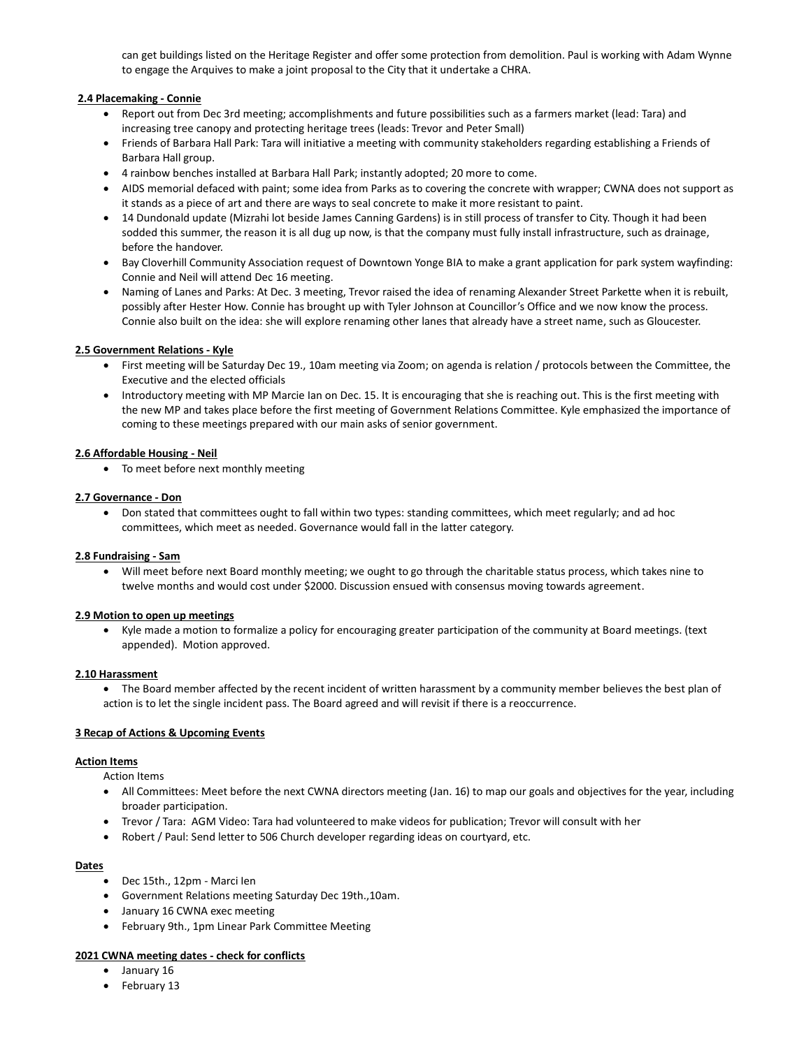can get buildings listed on the Heritage Register and offer some protection from demolition. Paul is working with Adam Wynne to engage the Arquives to make a joint proposal to the City that it undertake a CHRA.

## **2.4 Placemaking - Connie**

- Report out from Dec 3rd meeting; accomplishments and future possibilities such as a farmers market (lead: Tara) and increasing tree canopy and protecting heritage trees (leads: Trevor and Peter Small)
- Friends of Barbara Hall Park: Tara will initiative a meeting with community stakeholders regarding establishing a Friends of Barbara Hall group.
- 4 rainbow benches installed at Barbara Hall Park; instantly adopted; 20 more to come.
- AIDS memorial defaced with paint; some idea from Parks as to covering the concrete with wrapper; CWNA does not support as it stands as a piece of art and there are ways to seal concrete to make it more resistant to paint.
- 14 Dundonald update (Mizrahi lot beside James Canning Gardens) is in still process of transfer to City. Though it had been sodded this summer, the reason it is all dug up now, is that the company must fully install infrastructure, such as drainage, before the handover.
- Bay Cloverhill Community Association request of Downtown Yonge BIA to make a grant application for park system wayfinding: Connie and Neil will attend Dec 16 meeting.
- Naming of Lanes and Parks: At Dec. 3 meeting, Trevor raised the idea of renaming Alexander Street Parkette when it is rebuilt, possibly after Hester How. Connie has brought up with Tyler Johnson at Councillor's Office and we now know the process. Connie also built on the idea: she will explore renaming other lanes that already have a street name, such as Gloucester.

## **2.5 Government Relations - Kyle**

- First meeting will be Saturday Dec 19., 10am meeting via Zoom; on agenda is relation / protocols between the Committee, the Executive and the elected officials
- Introductory meeting with MP Marcie Ian on Dec. 15. It is encouraging that she is reaching out. This is the first meeting with the new MP and takes place before the first meeting of Government Relations Committee. Kyle emphasized the importance of coming to these meetings prepared with our main asks of senior government.

#### **2.6 Affordable Housing - Neil**

• To meet before next monthly meeting

#### **2.7 Governance - Don**

• Don stated that committees ought to fall within two types: standing committees, which meet regularly; and ad hoc committees, which meet as needed. Governance would fall in the latter category.

#### **2.8 Fundraising - Sam**

• Will meet before next Board monthly meeting; we ought to go through the charitable status process, which takes nine to twelve months and would cost under \$2000. Discussion ensued with consensus moving towards agreement.

#### **2.9 Motion to open up meetings**

• Kyle made a motion to formalize a policy for encouraging greater participation of the community at Board meetings. (text appended). Motion approved.

#### **2.10 Harassment**

• The Board member affected by the recent incident of written harassment by a community member believes the best plan of action is to let the single incident pass. The Board agreed and will revisit if there is a reoccurrence.

#### **3 Recap of Actions & Upcoming Events**

## **Action Items**

Action Items

- All Committees: Meet before the next CWNA directors meeting (Jan. 16) to map our goals and objectives for the year, including broader participation.
- Trevor / Tara: AGM Video: Tara had volunteered to make videos for publication; Trevor will consult with her
- Robert / Paul: Send letter to 506 Church developer regarding ideas on courtyard, etc.

## **Dates**

- Dec 15th., 12pm Marci Ien
- Government Relations meeting Saturday Dec 19th.,10am.
- January 16 CWNA exec meeting
- February 9th., 1pm Linear Park Committee Meeting

#### **2021 CWNA meeting dates - check for conflicts**

- January 16
- February 13